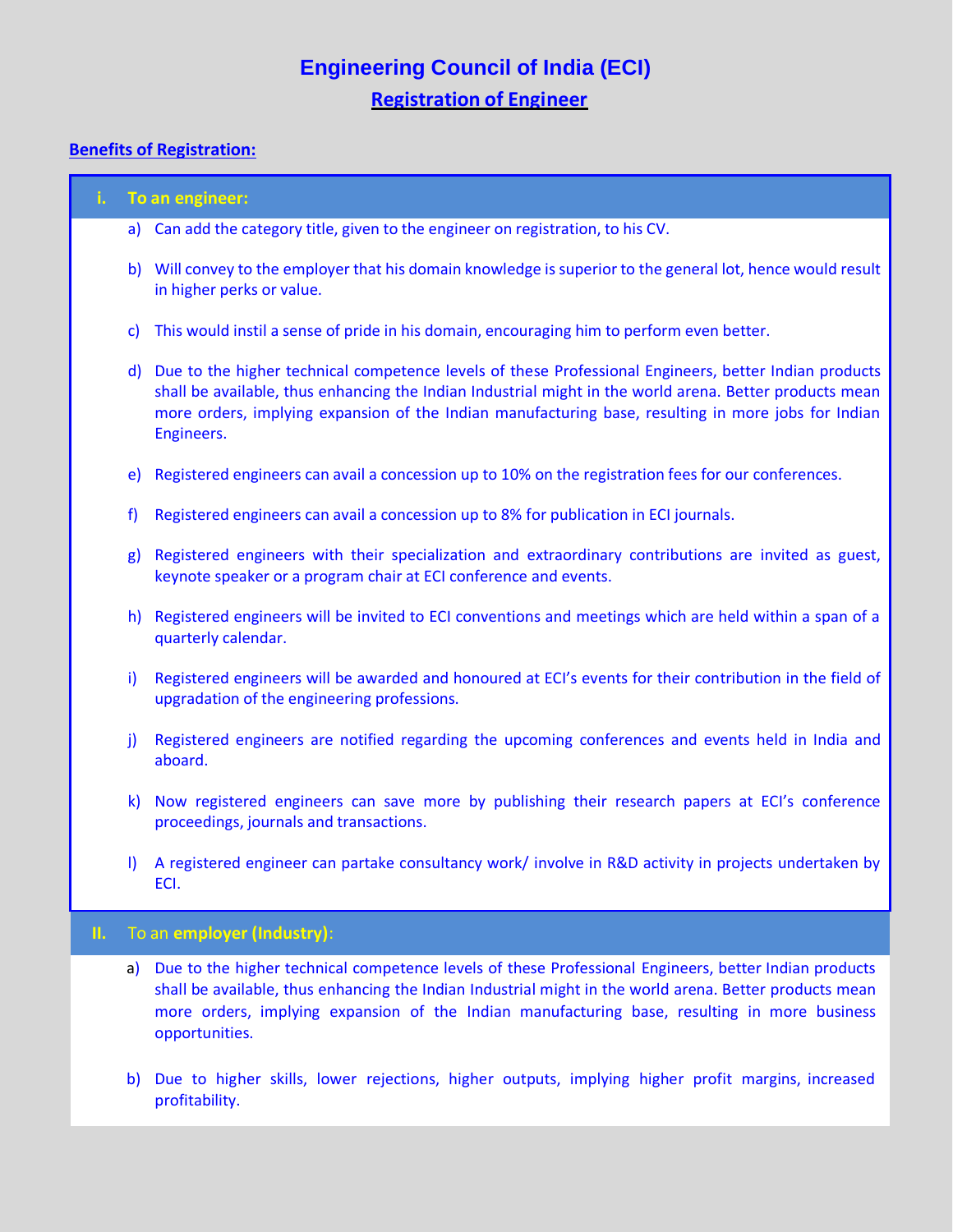## **Engineering Council of India (ECI) Registration of Engineer**

## **Benefits of Registration:**

opportunities.

| i. |              | To an engineer:                                                                                                                                                                                                                                                                                                                          |
|----|--------------|------------------------------------------------------------------------------------------------------------------------------------------------------------------------------------------------------------------------------------------------------------------------------------------------------------------------------------------|
|    |              | a) Can add the category title, given to the engineer on registration, to his CV.                                                                                                                                                                                                                                                         |
|    |              | b) Will convey to the employer that his domain knowledge is superior to the general lot, hence would result<br>in higher perks or value.                                                                                                                                                                                                 |
|    | $\mathsf{C}$ | This would instil a sense of pride in his domain, encouraging him to perform even better.                                                                                                                                                                                                                                                |
|    |              | d) Due to the higher technical competence levels of these Professional Engineers, better Indian products<br>shall be available, thus enhancing the Indian Industrial might in the world arena. Better products mean<br>more orders, implying expansion of the Indian manufacturing base, resulting in more jobs for Indian<br>Engineers. |
|    | e)           | Registered engineers can avail a concession up to 10% on the registration fees for our conferences.                                                                                                                                                                                                                                      |
|    | f            | Registered engineers can avail a concession up to 8% for publication in ECI journals.                                                                                                                                                                                                                                                    |
|    | g)           | Registered engineers with their specialization and extraordinary contributions are invited as guest,<br>keynote speaker or a program chair at ECI conference and events.                                                                                                                                                                 |
|    | h)           | Registered engineers will be invited to ECI conventions and meetings which are held within a span of a<br>quarterly calendar.                                                                                                                                                                                                            |
|    | i)           | Registered engineers will be awarded and honoured at ECI's events for their contribution in the field of<br>upgradation of the engineering professions.                                                                                                                                                                                  |
|    | j)           | Registered engineers are notified regarding the upcoming conferences and events held in India and<br>aboard.                                                                                                                                                                                                                             |
|    | $\mathsf{k}$ | Now registered engineers can save more by publishing their research papers at ECI's conference<br>proceedings, journals and transactions.                                                                                                                                                                                                |
|    | $\vert$      | A registered engineer can partake consultancy work/ involve in R&D activity in projects undertaken by<br>ECI.                                                                                                                                                                                                                            |
| П. |              | To an employer (Industry):                                                                                                                                                                                                                                                                                                               |
|    | a)           | Due to the higher technical competence levels of these Professional Engineers, better Indian products<br>shall be available, thus enhancing the Indian Industrial might in the world arena. Better products mean<br>more orders, implying expansion of the Indian manufacturing base, resulting in more business                         |

b) Due to higher skills, lower rejections, higher outputs, implying higher profit margins, increased profitability.